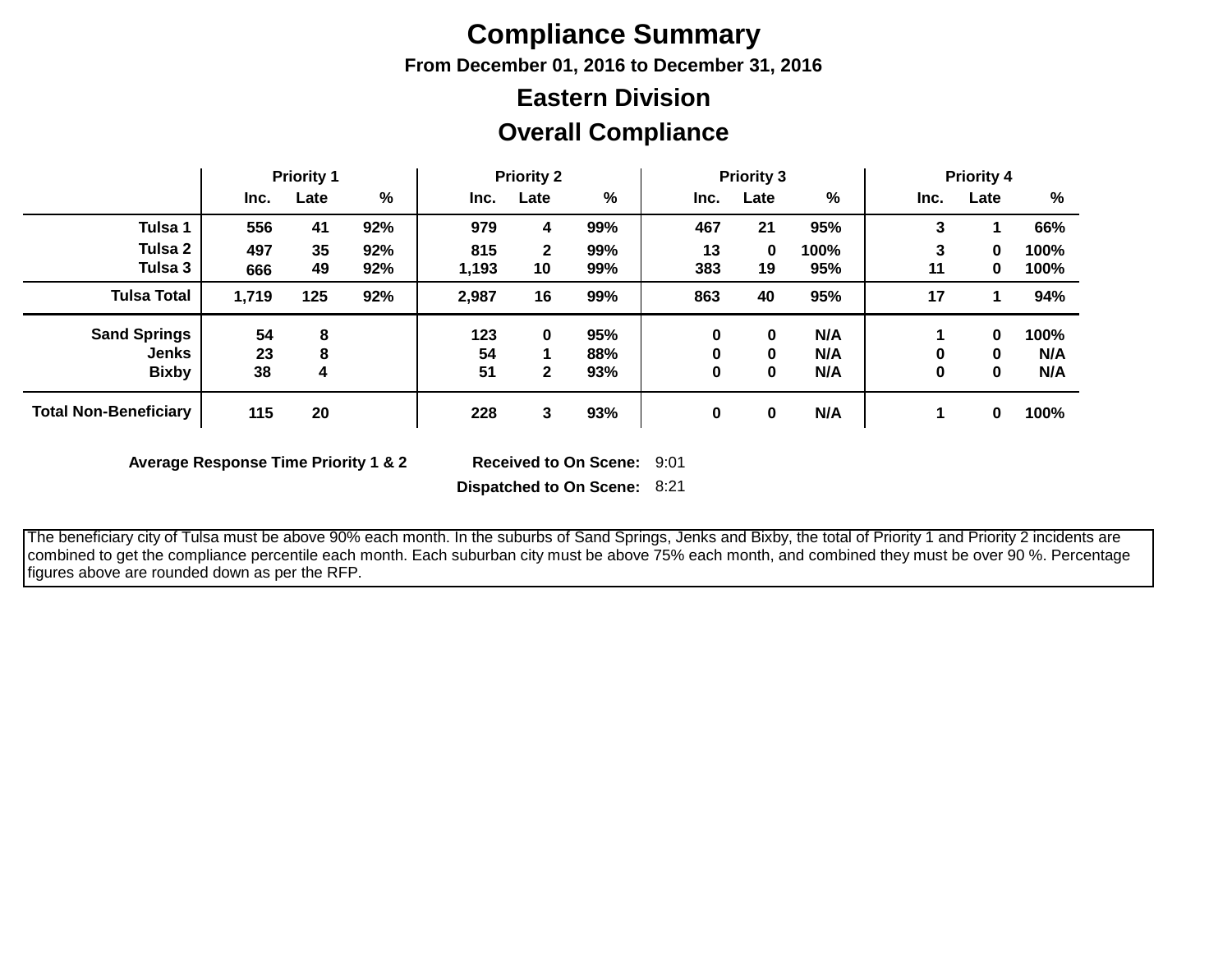# **Compliance Summary**

**From December 01, 2016 to December 31, 2016**

## **Overall Compliance Eastern Division**

|                              | <b>Priority 1</b> |      | <b>Priority 2</b> |       |              | <b>Priority 3</b> |      |          | <b>Priority 4</b> |      |             |      |
|------------------------------|-------------------|------|-------------------|-------|--------------|-------------------|------|----------|-------------------|------|-------------|------|
|                              | Inc.              | Late | %                 | Inc.  | Late         | %                 | Inc. | Late     | %                 | Inc. | Late        | %    |
| Tulsa 1                      | 556               | 41   | 92%               | 979   | 4            | 99%               | 467  | 21       | 95%               | 3    |             | 66%  |
| Tulsa 2                      | 497               | 35   | 92%               | 815   | $\mathbf{2}$ | 99%               | 13   | 0        | 100%              | 3    | $\bf{0}$    | 100% |
| Tulsa 3                      | 666               | 49   | 92%               | 1,193 | 10           | 99%               | 383  | 19       | 95%               | 11   | $\mathbf 0$ | 100% |
| <b>Tulsa Total</b>           | 1,719             | 125  | 92%               | 2,987 | 16           | 99%               | 863  | 40       | 95%               | 17   |             | 94%  |
| <b>Sand Springs</b>          | 54                | 8    |                   | 123   | $\bf{0}$     | 95%               | 0    | 0        | N/A               |      | 0           | 100% |
| <b>Jenks</b>                 | 23                | 8    |                   | 54    |              | 88%               | 0    | $\bf{0}$ | N/A               | 0    | $\bf{0}$    | N/A  |
| <b>Bixby</b>                 | 38                | 4    |                   | 51    | $\mathbf{2}$ | 93%               | 0    | 0        | N/A               | 0    | 0           | N/A  |
| <b>Total Non-Beneficiary</b> | 115               | 20   |                   | 228   | 3            | 93%               | 0    | 0        | N/A               |      | 0           | 100% |

**Average Response Time Priority 1 & 2** 

Received to On Scene: 9:01

**Dispatched to On Scene:** 8:21

 The beneficiary city of Tulsa must be above 90% each month. In the suburbs of Sand Springs, Jenks and Bixby, the total of Priority 1 and Priority 2 incidents are combined to get the compliance percentile each month. Each suburban city must be above 75% each month, and combined they must be over 90 %. Percentage figures above are rounded down as per the RFP.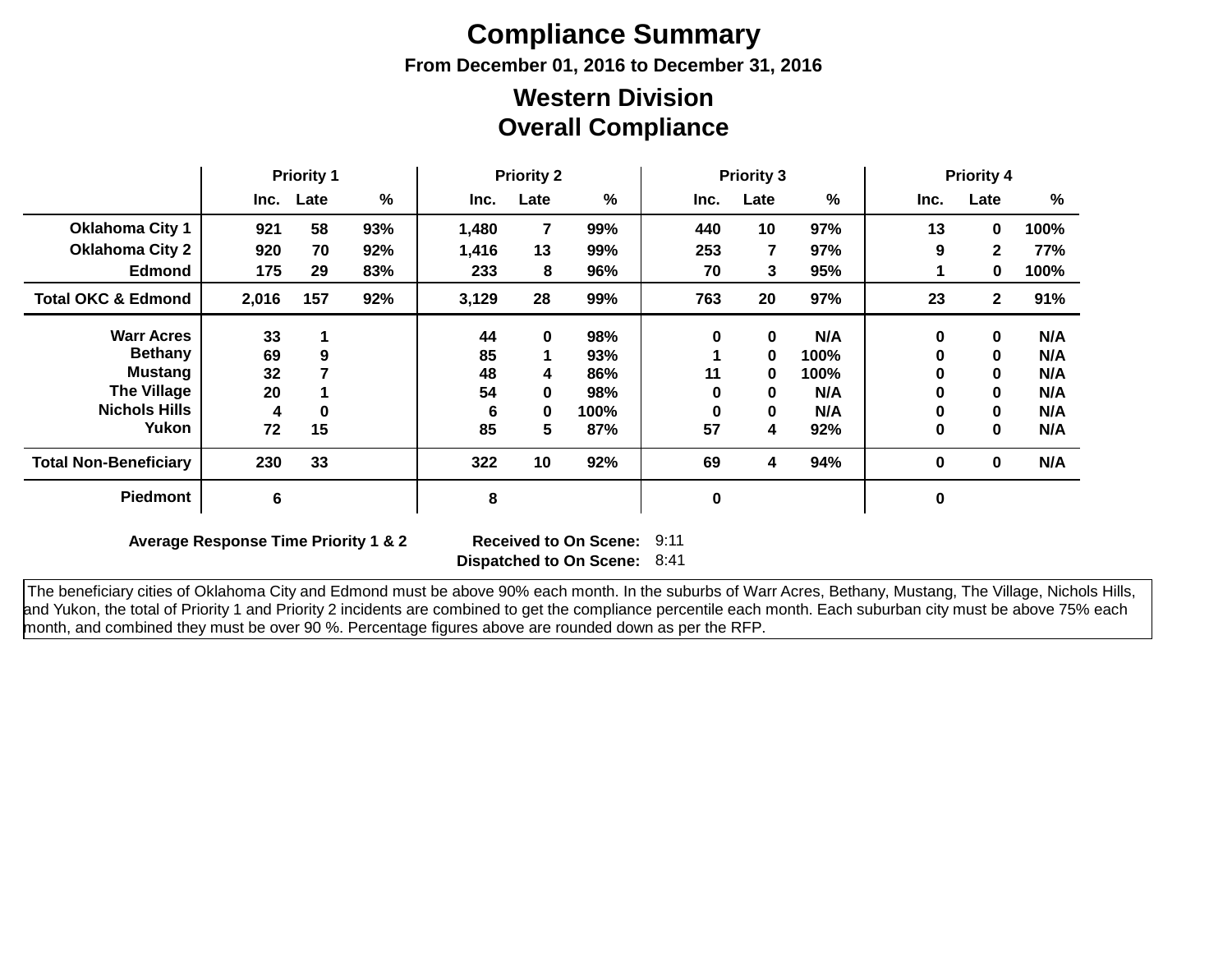# **Compliance Summary**

**From December 01, 2016 to December 31, 2016**

### **Overall Compliance Western Division**

|                               | <b>Priority 1</b> |      | <b>Priority 2</b> |       |             | <b>Priority 3</b> |           |      | <b>Priority 4</b> |      |              |      |
|-------------------------------|-------------------|------|-------------------|-------|-------------|-------------------|-----------|------|-------------------|------|--------------|------|
|                               | Inc.              | Late | $\%$              | Inc.  | Late        | %                 | Inc.      | Late | %                 | Inc. | Late         | $\%$ |
| <b>Oklahoma City 1</b>        | 921               | 58   | 93%               | 1,480 | 7           | 99%               | 440       | 10   | 97%               | 13   | $\mathbf 0$  | 100% |
| <b>Oklahoma City 2</b>        | 920               | 70   | 92%               | 1,416 | 13          | 99%               | 253       | 7    | 97%               | 9    | $\mathbf{2}$ | 77%  |
| <b>Edmond</b>                 | 175               | 29   | 83%               | 233   | 8           | 96%               | 70        | 3.   | 95%               |      | 0            | 100% |
| <b>Total OKC &amp; Edmond</b> | 2,016             | 157  | 92%               | 3,129 | 28          | 99%               | 763       | 20   | 97%               | 23   | $\mathbf{2}$ | 91%  |
| <b>Warr Acres</b>             | 33                |      |                   | 44    | $\mathbf 0$ | 98%               | 0         | 0    | N/A               | 0    | $\mathbf{0}$ | N/A  |
| <b>Bethany</b>                | 69                | 9    |                   | 85    |             | 93%               |           | 0    | 100%              | 0    | $\mathbf{0}$ | N/A  |
| Mustang                       | 32                |      |                   | 48    | 4           | 86%               | 11        | 0    | 100%              | 0    | $\mathbf{0}$ | N/A  |
| <b>The Village</b>            | 20                |      |                   | 54    | 0           | 98%               | 0         | 0    | N/A               | 0    | $\mathbf{0}$ | N/A  |
| <b>Nichols Hills</b>          | 4                 | 0    |                   | 6     | 0           | 100%              | 0         | 0    | N/A               | 0    | $\mathbf{0}$ | N/A  |
| Yukon                         | 72                | 15   |                   | 85    | 5           | 87%               | 57        | 4    | 92%               | 0    | $\mathbf{0}$ | N/A  |
| <b>Total Non-Beneficiary</b>  | 230               | 33   |                   | 322   | 10          | 92%               | 69        | 4    | 94%               | 0    | $\mathbf 0$  | N/A  |
| <b>Piedmont</b>               | 6                 |      |                   | 8     |             |                   | $\pmb{0}$ |      |                   | 0    |              |      |

**Average Response Time Priority 1 & 2** 

**Dispatched to On Scene:** 8:41 Received to On Scene: 9:11

 The beneficiary cities of Oklahoma City and Edmond must be above 90% each month. In the suburbs of Warr Acres, Bethany, Mustang, The Village, Nichols Hills, and Yukon, the total of Priority 1 and Priority 2 incidents are combined to get the compliance percentile each month. Each suburban city must be above 75% each month, and combined they must be over 90 %. Percentage figures above are rounded down as per the RFP.